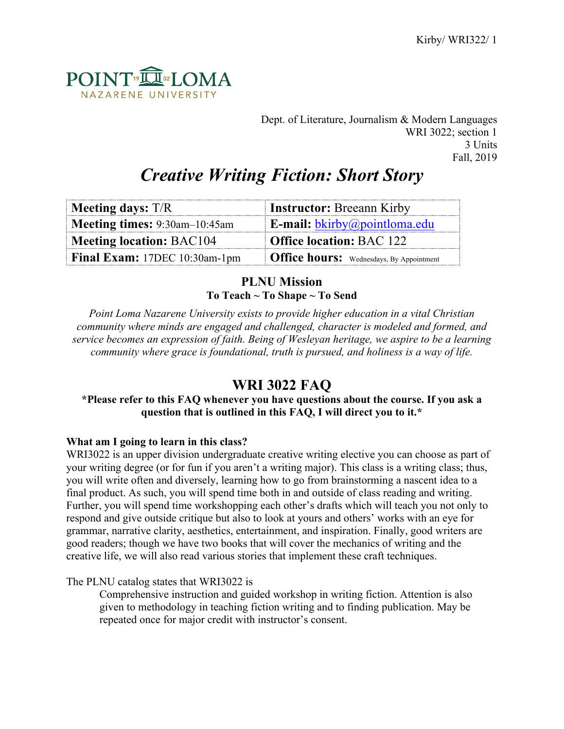

Dept. of Literature, Journalism & Modern Languages WRI 3022; section 1 3 Units Fall, 2019

# *Creative Writing Fiction: Short Story*

| <b>Meeting days:</b> T/R                                           | <b>Instructor:</b> Breeann Kirby                          |
|--------------------------------------------------------------------|-----------------------------------------------------------|
| Meeting times: 9:30am-10:45am                                      | <b>E-mail:</b> $\underline{b}$ <i>kirby@pointloma.edu</i> |
| <b>Office location: BAC 122</b><br><b>Meeting location: BAC104</b> |                                                           |
| Final Exam: 17DEC 10:30am-1pm                                      | <b>Office hours:</b> Wednesdays, By Appointment           |

# **PLNU Mission To Teach ~ To Shape ~ To Send**

*Point Loma Nazarene University exists to provide higher education in a vital Christian community where minds are engaged and challenged, character is modeled and formed, and service becomes an expression of faith. Being of Wesleyan heritage, we aspire to be a learning community where grace is foundational, truth is pursued, and holiness is a way of life.*

# **WRI 3022 FAQ**

# **\*Please refer to this FAQ whenever you have questions about the course. If you ask a question that is outlined in this FAQ, I will direct you to it.\***

# **What am I going to learn in this class?**

WRI3022 is an upper division undergraduate creative writing elective you can choose as part of your writing degree (or for fun if you aren't a writing major). This class is a writing class; thus, you will write often and diversely, learning how to go from brainstorming a nascent idea to a final product. As such, you will spend time both in and outside of class reading and writing. Further, you will spend time workshopping each other's drafts which will teach you not only to respond and give outside critique but also to look at yours and others' works with an eye for grammar, narrative clarity, aesthetics, entertainment, and inspiration. Finally, good writers are good readers; though we have two books that will cover the mechanics of writing and the creative life, we will also read various stories that implement these craft techniques.

The PLNU catalog states that WRI3022 is

Comprehensive instruction and guided workshop in writing fiction. Attention is also given to methodology in teaching fiction writing and to finding publication. May be repeated once for major credit with instructor's consent.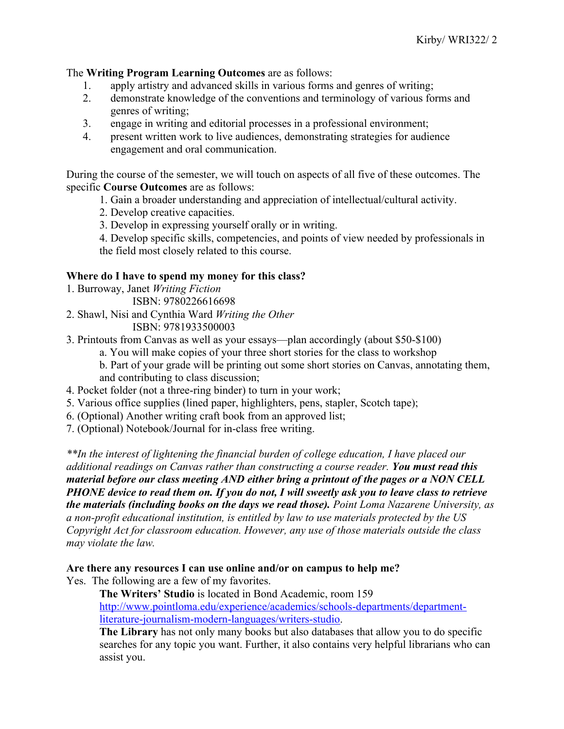The **Writing Program Learning Outcomes** are as follows:

- 1. apply artistry and advanced skills in various forms and genres of writing;
- 2. demonstrate knowledge of the conventions and terminology of various forms and genres of writing;
- 3. engage in writing and editorial processes in a professional environment;
- 4. present written work to live audiences, demonstrating strategies for audience engagement and oral communication.

During the course of the semester, we will touch on aspects of all five of these outcomes. The specific **Course Outcomes** are as follows:

- 1. Gain a broader understanding and appreciation of intellectual/cultural activity.
- 2. Develop creative capacities.
- 3. Develop in expressing yourself orally or in writing.
- 4. Develop specific skills, competencies, and points of view needed by professionals in the field most closely related to this course.

#### **Where do I have to spend my money for this class?**

- 1. Burroway, Janet *Writing Fiction*
	- ISBN: 9780226616698
- 2. Shawl, Nisi and Cynthia Ward *Writing the Other* ISBN: 9781933500003
- 3. Printouts from Canvas as well as your essays—plan accordingly (about \$50-\$100)
	- a. You will make copies of your three short stories for the class to workshop
	- b. Part of your grade will be printing out some short stories on Canvas, annotating them, and contributing to class discussion;
- 4. Pocket folder (not a three-ring binder) to turn in your work;
- 5. Various office supplies (lined paper, highlighters, pens, stapler, Scotch tape);
- 6. (Optional) Another writing craft book from an approved list;
- 7. (Optional) Notebook/Journal for in-class free writing.

*\*\*In the interest of lightening the financial burden of college education, I have placed our additional readings on Canvas rather than constructing a course reader. You must read this material before our class meeting AND either bring a printout of the pages or a NON CELL PHONE device to read them on. If you do not, I will sweetly ask you to leave class to retrieve the materials (including books on the days we read those). Point Loma Nazarene University, as a non-profit educational institution, is entitled by law to use materials protected by the US Copyright Act for classroom education. However, any use of those materials outside the class may violate the law.*

#### **Are there any resources I can use online and/or on campus to help me?**

Yes. The following are a few of my favorites.

**The Writers' Studio** is located in Bond Academic, room 159 http://www.pointloma.edu/experience/academics/schools-departments/departmentliterature-journalism-modern-languages/writers-studio.

**The Library** has not only many books but also databases that allow you to do specific searches for any topic you want. Further, it also contains very helpful librarians who can assist you.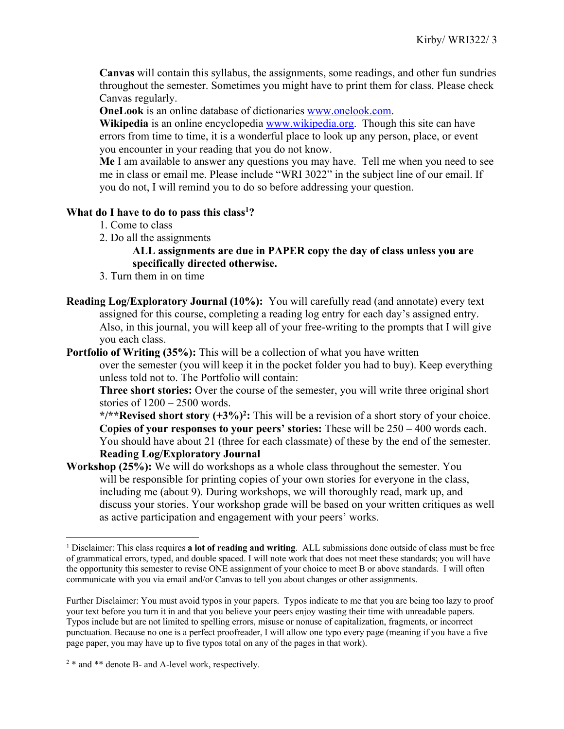**Canvas** will contain this syllabus, the assignments, some readings, and other fun sundries throughout the semester. Sometimes you might have to print them for class. Please check Canvas regularly.

**OneLook** is an online database of dictionaries www.onelook.com.

**Wikipedia** is an online encyclopedia www.wikipedia.org. Though this site can have errors from time to time, it is a wonderful place to look up any person, place, or event you encounter in your reading that you do not know.

**Me** I am available to answer any questions you may have. Tell me when you need to see me in class or email me. Please include "WRI 3022" in the subject line of our email. If you do not, I will remind you to do so before addressing your question.

# **What do I have to do to pass this class1 ?**

- 1. Come to class
- 2. Do all the assignments

# **ALL assignments are due in PAPER copy the day of class unless you are specifically directed otherwise.**

- 3. Turn them in on time
- **Reading Log/Exploratory Journal (10%):** You will carefully read (and annotate) every text assigned for this course, completing a reading log entry for each day's assigned entry. Also, in this journal, you will keep all of your free-writing to the prompts that I will give you each class.

# **Portfolio of Writing (35%):** This will be a collection of what you have written

over the semester (you will keep it in the pocket folder you had to buy). Keep everything unless told not to. The Portfolio will contain:

**Three short stories:** Over the course of the semester, you will write three original short stories of  $1200 - 2500$  words.

**\*/\*\*Revised short story (+3%)2:** This will be a revision of a short story of your choice. **Copies of your responses to your peers' stories:** These will be 250 – 400 words each. You should have about 21 (three for each classmate) of these by the end of the semester. **Reading Log/Exploratory Journal**

**Workshop (25%):** We will do workshops as a whole class throughout the semester. You will be responsible for printing copies of your own stories for everyone in the class, including me (about 9). During workshops, we will thoroughly read, mark up, and discuss your stories. Your workshop grade will be based on your written critiques as well as active participation and engagement with your peers' works.

<sup>1</sup> Disclaimer: This class requires **a lot of reading and writing**. ALL submissions done outside of class must be free of grammatical errors, typed, and double spaced. I will note work that does not meet these standards; you will have the opportunity this semester to revise ONE assignment of your choice to meet B or above standards. I will often communicate with you via email and/or Canvas to tell you about changes or other assignments.

Further Disclaimer: You must avoid typos in your papers. Typos indicate to me that you are being too lazy to proof your text before you turn it in and that you believe your peers enjoy wasting their time with unreadable papers. Typos include but are not limited to spelling errors, misuse or nonuse of capitalization, fragments, or incorrect punctuation. Because no one is a perfect proofreader, I will allow one typo every page (meaning if you have a five page paper, you may have up to five typos total on any of the pages in that work).

<sup>&</sup>lt;sup>2</sup> \* and \*\* denote B- and A-level work, respectively.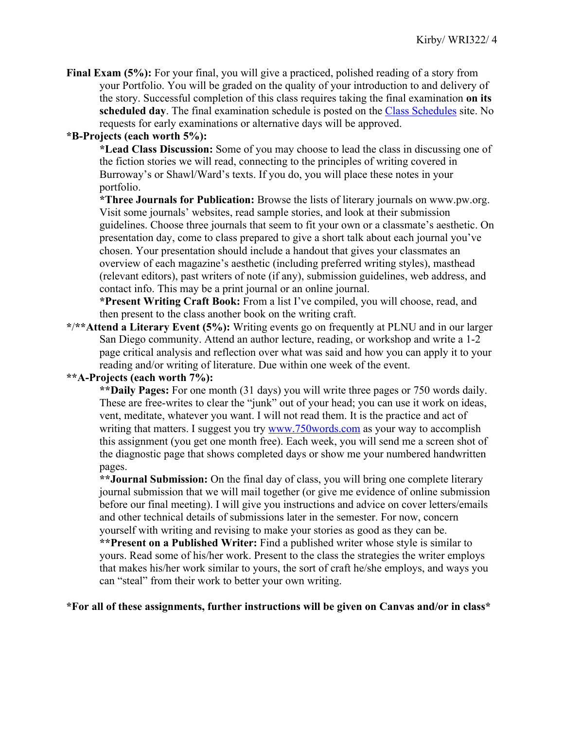**Final Exam (5%):** For your final, you will give a practiced, polished reading of a story from your Portfolio. You will be graded on the quality of your introduction to and delivery of the story. Successful completion of this class requires taking the final examination **on its scheduled day**. The final examination schedule is posted on the Class Schedules site. No requests for early examinations or alternative days will be approved.

# **\*B-Projects (each worth 5%):**

**\*Lead Class Discussion:** Some of you may choose to lead the class in discussing one of the fiction stories we will read, connecting to the principles of writing covered in Burroway's or Shawl/Ward's texts. If you do, you will place these notes in your portfolio.

**\*Three Journals for Publication:** Browse the lists of literary journals on www.pw.org. Visit some journals' websites, read sample stories, and look at their submission guidelines. Choose three journals that seem to fit your own or a classmate's aesthetic. On presentation day, come to class prepared to give a short talk about each journal you've chosen. Your presentation should include a handout that gives your classmates an overview of each magazine's aesthetic (including preferred writing styles), masthead (relevant editors), past writers of note (if any), submission guidelines, web address, and contact info. This may be a print journal or an online journal.

**\*Present Writing Craft Book:** From a list I've compiled, you will choose, read, and then present to the class another book on the writing craft.

**\***/**\*\*Attend a Literary Event (5%):** Writing events go on frequently at PLNU and in our larger San Diego community. Attend an author lecture, reading, or workshop and write a 1-2 page critical analysis and reflection over what was said and how you can apply it to your reading and/or writing of literature. Due within one week of the event.

# **\*\*A-Projects (each worth 7%):**

**\*\*Daily Pages:** For one month (31 days) you will write three pages or 750 words daily. These are free-writes to clear the "junk" out of your head; you can use it work on ideas, vent, meditate, whatever you want. I will not read them. It is the practice and act of writing that matters. I suggest you try www.750words.com as your way to accomplish this assignment (you get one month free). Each week, you will send me a screen shot of the diagnostic page that shows completed days or show me your numbered handwritten pages.

**\*\*Journal Submission:** On the final day of class, you will bring one complete literary journal submission that we will mail together (or give me evidence of online submission before our final meeting). I will give you instructions and advice on cover letters/emails and other technical details of submissions later in the semester. For now, concern yourself with writing and revising to make your stories as good as they can be.

**\*\*Present on a Published Writer:** Find a published writer whose style is similar to yours. Read some of his/her work. Present to the class the strategies the writer employs that makes his/her work similar to yours, the sort of craft he/she employs, and ways you can "steal" from their work to better your own writing.

**\*For all of these assignments, further instructions will be given on Canvas and/or in class\***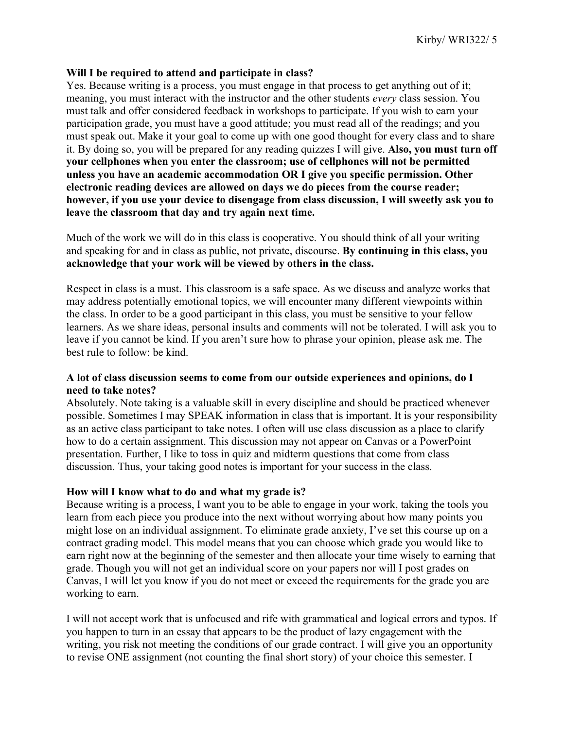#### **Will I be required to attend and participate in class?**

Yes. Because writing is a process, you must engage in that process to get anything out of it; meaning, you must interact with the instructor and the other students *every* class session. You must talk and offer considered feedback in workshops to participate. If you wish to earn your participation grade, you must have a good attitude; you must read all of the readings; and you must speak out. Make it your goal to come up with one good thought for every class and to share it. By doing so, you will be prepared for any reading quizzes I will give. **Also, you must turn off your cellphones when you enter the classroom; use of cellphones will not be permitted unless you have an academic accommodation OR I give you specific permission. Other electronic reading devices are allowed on days we do pieces from the course reader; however, if you use your device to disengage from class discussion, I will sweetly ask you to leave the classroom that day and try again next time.**

Much of the work we will do in this class is cooperative. You should think of all your writing and speaking for and in class as public, not private, discourse. **By continuing in this class, you acknowledge that your work will be viewed by others in the class.**

Respect in class is a must. This classroom is a safe space. As we discuss and analyze works that may address potentially emotional topics, we will encounter many different viewpoints within the class. In order to be a good participant in this class, you must be sensitive to your fellow learners. As we share ideas, personal insults and comments will not be tolerated. I will ask you to leave if you cannot be kind. If you aren't sure how to phrase your opinion, please ask me. The best rule to follow: be kind.

# **A lot of class discussion seems to come from our outside experiences and opinions, do I need to take notes?**

Absolutely. Note taking is a valuable skill in every discipline and should be practiced whenever possible. Sometimes I may SPEAK information in class that is important. It is your responsibility as an active class participant to take notes. I often will use class discussion as a place to clarify how to do a certain assignment. This discussion may not appear on Canvas or a PowerPoint presentation. Further, I like to toss in quiz and midterm questions that come from class discussion. Thus, your taking good notes is important for your success in the class.

#### **How will I know what to do and what my grade is?**

Because writing is a process, I want you to be able to engage in your work, taking the tools you learn from each piece you produce into the next without worrying about how many points you might lose on an individual assignment. To eliminate grade anxiety, I've set this course up on a contract grading model. This model means that you can choose which grade you would like to earn right now at the beginning of the semester and then allocate your time wisely to earning that grade. Though you will not get an individual score on your papers nor will I post grades on Canvas, I will let you know if you do not meet or exceed the requirements for the grade you are working to earn.

I will not accept work that is unfocused and rife with grammatical and logical errors and typos. If you happen to turn in an essay that appears to be the product of lazy engagement with the writing, you risk not meeting the conditions of our grade contract. I will give you an opportunity to revise ONE assignment (not counting the final short story) of your choice this semester. I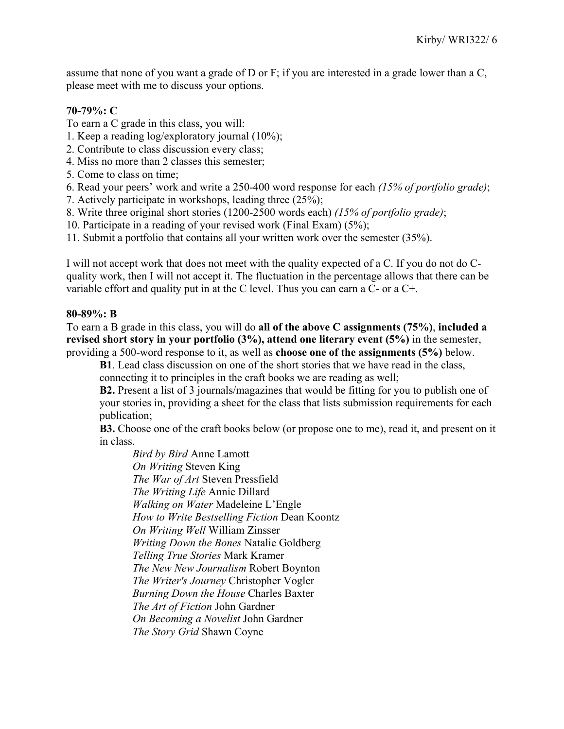assume that none of you want a grade of D or F; if you are interested in a grade lower than a C, please meet with me to discuss your options.

# **70-79%: C**

- To earn a C grade in this class, you will:
- 1. Keep a reading log/exploratory journal (10%);
- 2. Contribute to class discussion every class;
- 4. Miss no more than 2 classes this semester;
- 5. Come to class on time;
- 6. Read your peers' work and write a 250-400 word response for each *(15% of portfolio grade)*;
- 7. Actively participate in workshops, leading three (25%);
- 8. Write three original short stories (1200-2500 words each) *(15% of portfolio grade)*;
- 10. Participate in a reading of your revised work (Final Exam) (5%);
- 11. Submit a portfolio that contains all your written work over the semester (35%).

I will not accept work that does not meet with the quality expected of a C. If you do not do Cquality work, then I will not accept it. The fluctuation in the percentage allows that there can be variable effort and quality put in at the C level. Thus you can earn a C- or a C+.

# **80-89%: B**

To earn a B grade in this class, you will do **all of the above C assignments (75%)**, **included a revised short story in your portfolio (3%), attend one literary event (5%)** in the semester, providing a 500-word response to it, as well as **choose one of the assignments (5%)** below.

**B1**. Lead class discussion on one of the short stories that we have read in the class, connecting it to principles in the craft books we are reading as well;

**B2.** Present a list of 3 journals/magazines that would be fitting for you to publish one of your stories in, providing a sheet for the class that lists submission requirements for each publication;

**B3.** Choose one of the craft books below (or propose one to me), read it, and present on it in class.

*Bird by Bird* Anne Lamott *On Writing* Steven King *The War of Art* Steven Pressfield *The Writing Life* Annie Dillard *Walking on Water* Madeleine L'Engle *How to Write Bestselling Fiction* Dean Koontz *On Writing Well* William Zinsser *Writing Down the Bones* Natalie Goldberg *Telling True Stories* Mark Kramer *The New New Journalism* Robert Boynton *The Writer's Journey* Christopher Vogler *Burning Down the House* Charles Baxter *The Art of Fiction* John Gardner *On Becoming a Novelist* John Gardner *The Story Grid* Shawn Coyne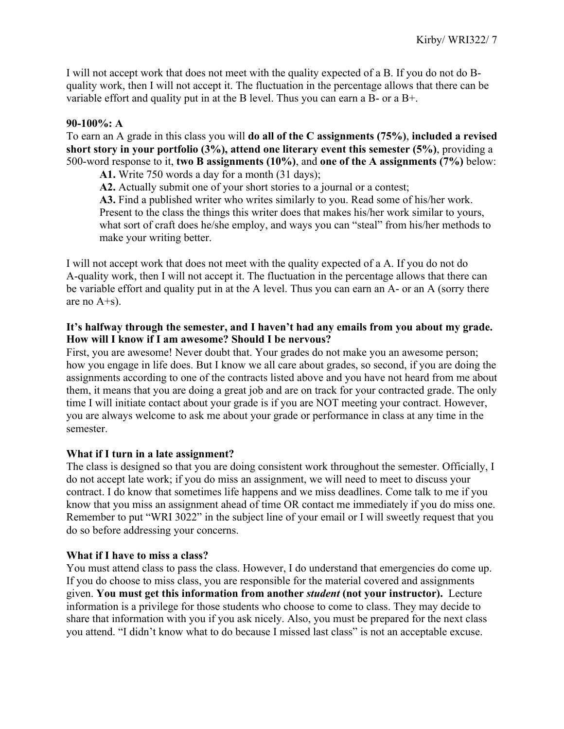I will not accept work that does not meet with the quality expected of a B. If you do not do Bquality work, then I will not accept it. The fluctuation in the percentage allows that there can be variable effort and quality put in at the B level. Thus you can earn a B- or a B+.

# **90-100%: A**

To earn an A grade in this class you will **do all of the C assignments (75%)**, **included a revised short story in your portfolio (3%), attend one literary event this semester (5%)**, providing a 500-word response to it, **two B assignments (10%)**, and **one of the A assignments (7%)** below:

**A1.** Write 750 words a day for a month (31 days);

**A2.** Actually submit one of your short stories to a journal or a contest;

**A3.** Find a published writer who writes similarly to you. Read some of his/her work. Present to the class the things this writer does that makes his/her work similar to yours, what sort of craft does he/she employ, and ways you can "steal" from his/her methods to make your writing better.

I will not accept work that does not meet with the quality expected of a A. If you do not do A-quality work, then I will not accept it. The fluctuation in the percentage allows that there can be variable effort and quality put in at the A level. Thus you can earn an A- or an A (sorry there are no A+s).

# **It's halfway through the semester, and I haven't had any emails from you about my grade. How will I know if I am awesome? Should I be nervous?**

First, you are awesome! Never doubt that. Your grades do not make you an awesome person; how you engage in life does. But I know we all care about grades, so second, if you are doing the assignments according to one of the contracts listed above and you have not heard from me about them, it means that you are doing a great job and are on track for your contracted grade. The only time I will initiate contact about your grade is if you are NOT meeting your contract. However, you are always welcome to ask me about your grade or performance in class at any time in the semester.

#### **What if I turn in a late assignment?**

The class is designed so that you are doing consistent work throughout the semester. Officially, I do not accept late work; if you do miss an assignment, we will need to meet to discuss your contract. I do know that sometimes life happens and we miss deadlines. Come talk to me if you know that you miss an assignment ahead of time OR contact me immediately if you do miss one. Remember to put "WRI 3022" in the subject line of your email or I will sweetly request that you do so before addressing your concerns.

#### **What if I have to miss a class?**

You must attend class to pass the class. However, I do understand that emergencies do come up. If you do choose to miss class, you are responsible for the material covered and assignments given. **You must get this information from another** *student* **(not your instructor).** Lecture information is a privilege for those students who choose to come to class. They may decide to share that information with you if you ask nicely. Also, you must be prepared for the next class you attend. "I didn't know what to do because I missed last class" is not an acceptable excuse.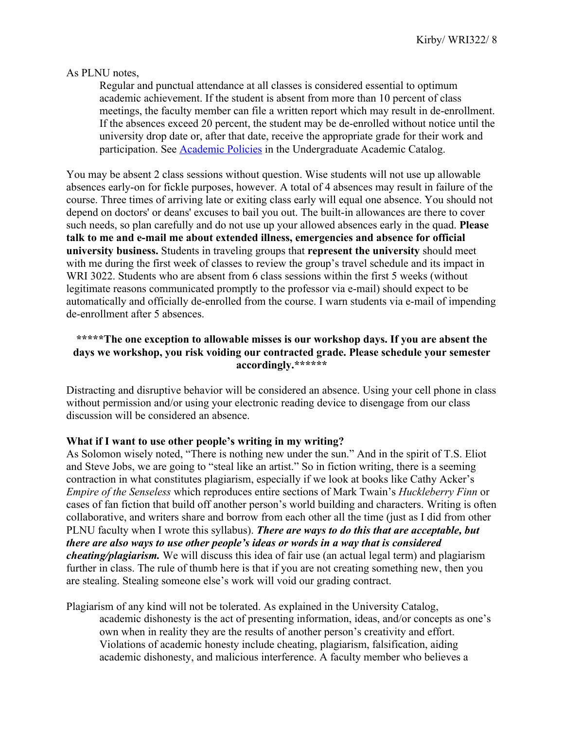#### As PLNU notes,

Regular and punctual attendance at all classes is considered essential to optimum academic achievement. If the student is absent from more than 10 percent of class meetings, the faculty member can file a written report which may result in de-enrollment. If the absences exceed 20 percent, the student may be de-enrolled without notice until the university drop date or, after that date, receive the appropriate grade for their work and participation. See **Academic Policies** in the Undergraduate Academic Catalog.

You may be absent 2 class sessions without question. Wise students will not use up allowable absences early-on for fickle purposes, however. A total of 4 absences may result in failure of the course. Three times of arriving late or exiting class early will equal one absence. You should not depend on doctors' or deans' excuses to bail you out. The built-in allowances are there to cover such needs, so plan carefully and do not use up your allowed absences early in the quad. **Please talk to me and e-mail me about extended illness, emergencies and absence for official university business.** Students in traveling groups that **represent the university** should meet with me during the first week of classes to review the group's travel schedule and its impact in WRI 3022. Students who are absent from 6 class sessions within the first 5 weeks (without legitimate reasons communicated promptly to the professor via e-mail) should expect to be automatically and officially de-enrolled from the course. I warn students via e-mail of impending de-enrollment after 5 absences.

# **\*\*\*\*\*The one exception to allowable misses is our workshop days. If you are absent the days we workshop, you risk voiding our contracted grade. Please schedule your semester accordingly.\*\*\*\*\*\***

Distracting and disruptive behavior will be considered an absence. Using your cell phone in class without permission and/or using your electronic reading device to disengage from our class discussion will be considered an absence.

#### **What if I want to use other people's writing in my writing?**

As Solomon wisely noted, "There is nothing new under the sun." And in the spirit of T.S. Eliot and Steve Jobs, we are going to "steal like an artist." So in fiction writing, there is a seeming contraction in what constitutes plagiarism, especially if we look at books like Cathy Acker's *Empire of the Senseless* which reproduces entire sections of Mark Twain's *Huckleberry Finn* or cases of fan fiction that build off another person's world building and characters. Writing is often collaborative, and writers share and borrow from each other all the time (just as I did from other PLNU faculty when I wrote this syllabus). *There are ways to do this that are acceptable, but there are also ways to use other people's ideas or words in a way that is considered cheating/plagiarism.* We will discuss this idea of fair use (an actual legal term) and plagiarism further in class. The rule of thumb here is that if you are not creating something new, then you are stealing. Stealing someone else's work will void our grading contract.

Plagiarism of any kind will not be tolerated. As explained in the University Catalog, academic dishonesty is the act of presenting information, ideas, and/or concepts as one's own when in reality they are the results of another person's creativity and effort. Violations of academic honesty include cheating, plagiarism, falsification, aiding academic dishonesty, and malicious interference. A faculty member who believes a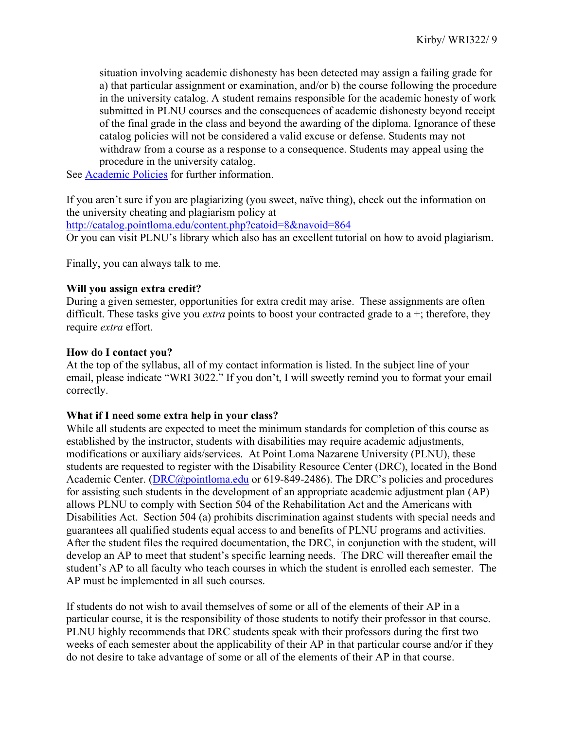situation involving academic dishonesty has been detected may assign a failing grade for a) that particular assignment or examination, and/or b) the course following the procedure in the university catalog. A student remains responsible for the academic honesty of work submitted in PLNU courses and the consequences of academic dishonesty beyond receipt of the final grade in the class and beyond the awarding of the diploma. Ignorance of these catalog policies will not be considered a valid excuse or defense. Students may not withdraw from a course as a response to a consequence. Students may appeal using the procedure in the university catalog.

See Academic Policies for further information.

If you aren't sure if you are plagiarizing (you sweet, naïve thing), check out the information on the university cheating and plagiarism policy at http://catalog.pointloma.edu/content.php?catoid=8&navoid=864 Or you can visit PLNU's library which also has an excellent tutorial on how to avoid plagiarism.

Finally, you can always talk to me.

#### **Will you assign extra credit?**

During a given semester, opportunities for extra credit may arise. These assignments are often difficult. These tasks give you *extra* points to boost your contracted grade to a +; therefore, they require *extra* effort.

#### **How do I contact you?**

At the top of the syllabus, all of my contact information is listed. In the subject line of your email, please indicate "WRI 3022." If you don't, I will sweetly remind you to format your email correctly.

#### **What if I need some extra help in your class?**

While all students are expected to meet the minimum standards for completion of this course as established by the instructor, students with disabilities may require academic adjustments, modifications or auxiliary aids/services. At Point Loma Nazarene University (PLNU), these students are requested to register with the Disability Resource Center (DRC), located in the Bond Academic Center. (DRC@pointloma.edu or 619-849-2486). The DRC's policies and procedures for assisting such students in the development of an appropriate academic adjustment plan (AP) allows PLNU to comply with Section 504 of the Rehabilitation Act and the Americans with Disabilities Act. Section 504 (a) prohibits discrimination against students with special needs and guarantees all qualified students equal access to and benefits of PLNU programs and activities. After the student files the required documentation, the DRC, in conjunction with the student, will develop an AP to meet that student's specific learning needs. The DRC will thereafter email the student's AP to all faculty who teach courses in which the student is enrolled each semester. The AP must be implemented in all such courses.

If students do not wish to avail themselves of some or all of the elements of their AP in a particular course, it is the responsibility of those students to notify their professor in that course. PLNU highly recommends that DRC students speak with their professors during the first two weeks of each semester about the applicability of their AP in that particular course and/or if they do not desire to take advantage of some or all of the elements of their AP in that course.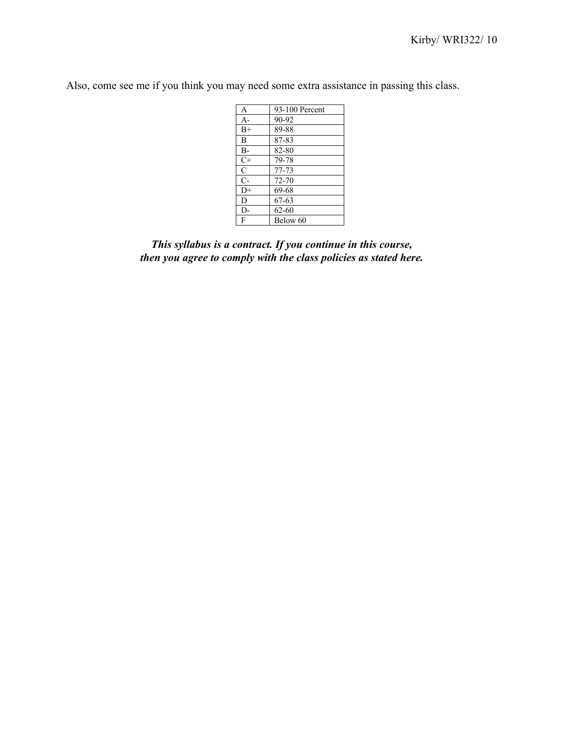Also, come see me if you think you may need some extra assistance in passing this class.

| A             | 93-100 Percent |
|---------------|----------------|
| $A -$         | 90-92          |
| $B+$          | 89-88          |
| B             | 87-83          |
| $B-$          | 82-80          |
| $C+$          | 79-78          |
| $\mathcal{C}$ | 77-73          |
| $C-$          | 72-70          |
| $D+$          | 69-68          |
| D             | 67-63          |
| D-            | 62-60          |
| F             | Below 60       |
|               |                |

*This syllabus is a contract. If you continue in this course, then you agree to comply with the class policies as stated here.*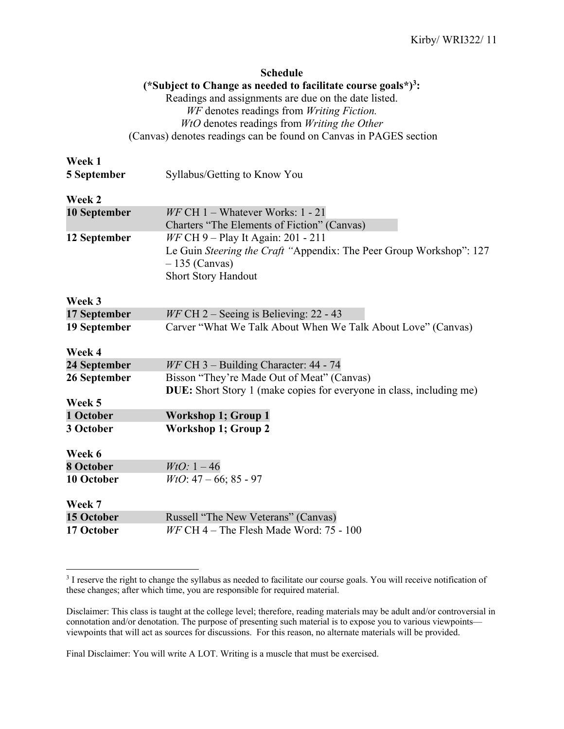|              | <b>Schedule</b>                                                             |
|--------------|-----------------------------------------------------------------------------|
|              | (*Subject to Change as needed to facilitate course goals*) <sup>3</sup> :   |
|              | Readings and assignments are due on the date listed.                        |
|              | WF denotes readings from Writing Fiction.                                   |
|              | WtO denotes readings from Writing the Other                                 |
|              | (Canvas) denotes readings can be found on Canvas in PAGES section           |
| Week 1       |                                                                             |
| 5 September  | Syllabus/Getting to Know You                                                |
| Week 2       |                                                                             |
| 10 September | $W F$ CH 1 – Whatever Works: 1 - 21                                         |
|              | Charters "The Elements of Fiction" (Canvas)                                 |
| 12 September | <i>WF</i> CH 9 – Play It Again: 201 - 211                                   |
|              | Le Guin Steering the Craft "Appendix: The Peer Group Workshop": 127         |
|              | $-135$ (Canvas)                                                             |
|              | <b>Short Story Handout</b>                                                  |
| Week 3       |                                                                             |
| 17 September | $WF$ CH 2 – Seeing is Believing: 22 - 43                                    |
| 19 September | Carver "What We Talk About When We Talk About Love" (Canvas)                |
| Week 4       |                                                                             |
| 24 September | WF CH 3 - Building Character: 44 - 74                                       |
| 26 September | Bisson "They're Made Out of Meat" (Canvas)                                  |
|              | <b>DUE:</b> Short Story 1 (make copies for everyone in class, including me) |
| Week 5       |                                                                             |
| 1 October    | <b>Workshop 1; Group 1</b>                                                  |
| 3 October    | <b>Workshop 1; Group 2</b>                                                  |
| Week 6       |                                                                             |
| 8 October    | $WtO: 1-46$                                                                 |
| 10 October   | $WtO: 47-66; 85-97$                                                         |
| Week 7       |                                                                             |
| 15 October   | Russell "The New Veterans" (Canvas)                                         |
| 17 October   | $W F$ CH 4 – The Flesh Made Word: 75 - 100                                  |
|              |                                                                             |

<sup>&</sup>lt;sup>3</sup> I reserve the right to change the syllabus as needed to facilitate our course goals. You will receive notification of these changes; after which time, you are responsible for required material.

Disclaimer: This class is taught at the college level; therefore, reading materials may be adult and/or controversial in connotation and/or denotation. The purpose of presenting such material is to expose you to various viewpoints viewpoints that will act as sources for discussions. For this reason, no alternate materials will be provided.

Final Disclaimer: You will write A LOT. Writing is a muscle that must be exercised.